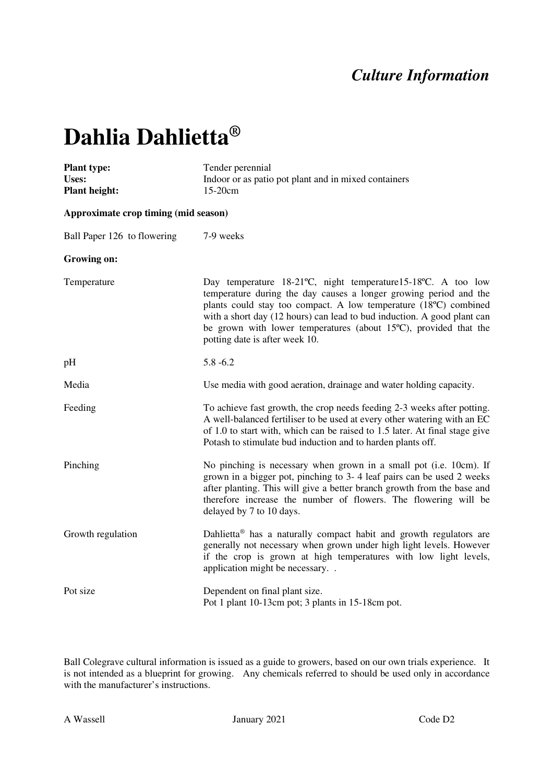## *Culture Information*

## **Dahlia Dahlietta®**

| <b>Plant type:</b><br>Uses:<br><b>Plant height:</b> | Tender perennial<br>Indoor or as patio pot plant and in mixed containers<br>15-20cm                                                                                                                                                                                                                                                                                                               |  |
|-----------------------------------------------------|---------------------------------------------------------------------------------------------------------------------------------------------------------------------------------------------------------------------------------------------------------------------------------------------------------------------------------------------------------------------------------------------------|--|
| Approximate crop timing (mid season)                |                                                                                                                                                                                                                                                                                                                                                                                                   |  |
| Ball Paper 126 to flowering                         | 7-9 weeks                                                                                                                                                                                                                                                                                                                                                                                         |  |
| Growing on:                                         |                                                                                                                                                                                                                                                                                                                                                                                                   |  |
| Temperature                                         | Day temperature 18-21°C, night temperature 15-18°C. A too low<br>temperature during the day causes a longer growing period and the<br>plants could stay too compact. A low temperature (18°C) combined<br>with a short day (12 hours) can lead to bud induction. A good plant can<br>be grown with lower temperatures (about $15^{\circ}$ C), provided that the<br>potting date is after week 10. |  |
| pH                                                  | $5.8 - 6.2$                                                                                                                                                                                                                                                                                                                                                                                       |  |
| Media                                               | Use media with good aeration, drainage and water holding capacity.                                                                                                                                                                                                                                                                                                                                |  |
| Feeding                                             | To achieve fast growth, the crop needs feeding 2-3 weeks after potting.<br>A well-balanced fertiliser to be used at every other watering with an EC<br>of 1.0 to start with, which can be raised to 1.5 later. At final stage give<br>Potash to stimulate bud induction and to harden plants off.                                                                                                 |  |
| Pinching                                            | No pinching is necessary when grown in a small pot (i.e. 10cm). If<br>grown in a bigger pot, pinching to 3-4 leaf pairs can be used 2 weeks<br>after planting. This will give a better branch growth from the base and<br>therefore increase the number of flowers. The flowering will be<br>delayed by 7 to 10 days.                                                                             |  |
| Growth regulation                                   | Dahlietta <sup>®</sup> has a naturally compact habit and growth regulators are<br>generally not necessary when grown under high light levels. However<br>if the crop is grown at high temperatures with low light levels,<br>application might be necessary                                                                                                                                       |  |
| Pot size                                            | Dependent on final plant size.<br>Pot 1 plant 10-13cm pot; 3 plants in 15-18cm pot.                                                                                                                                                                                                                                                                                                               |  |

Ball Colegrave cultural information is issued as a guide to growers, based on our own trials experience. It is not intended as a blueprint for growing. Any chemicals referred to should be used only in accordance with the manufacturer's instructions.